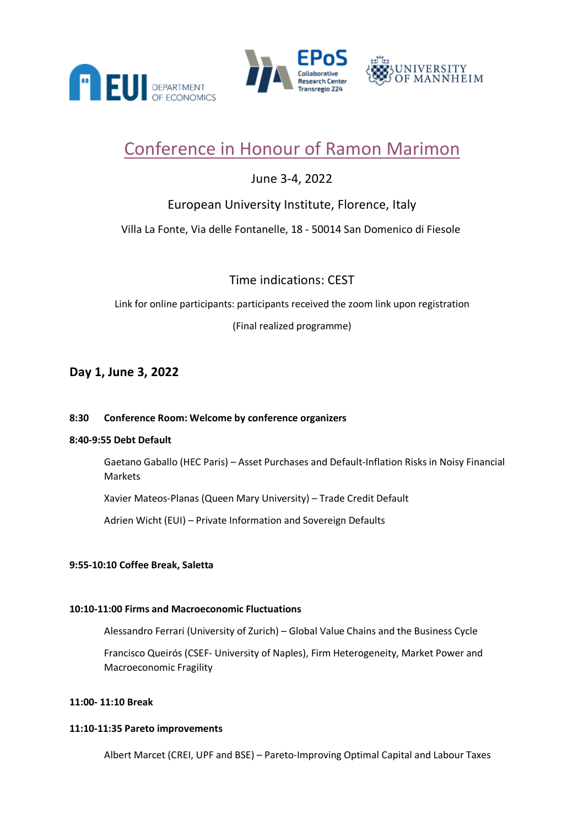



# JNIVERSITY **F MANNHEIM**

# Conference in Honour of Ramon Marimon

# June 3-4, 2022

# European University Institute, Florence, Italy

# Villa La Fonte, Via delle Fontanelle, 18 - 50014 San Domenico di Fiesole

# Time indications: CEST

Link for online participants: participants received the zoom link upon registration (Final realized programme)

# **Day 1, June 3, 2022**

## **8:30 Conference Room: Welcome by conference organizers**

## **8:40-9:55 Debt Default**

Gaetano Gaballo (HEC Paris) – Asset Purchases and Default-Inflation Risks in Noisy Financial Markets

Xavier Mateos-Planas (Queen Mary University) – Trade Credit Default

Adrien Wicht (EUI) – Private Information and Sovereign Defaults

## **9:55-10:10 Coffee Break, Saletta**

### **10:10-11:00 Firms and Macroeconomic Fluctuations**

Alessandro Ferrari (University of Zurich) – Global Value Chains and the Business Cycle

Francisco Queirós (CSEF- University of Naples), Firm Heterogeneity, Market Power and Macroeconomic Fragility

### **11:00- 11:10 Break**

### **11:10-11:35 Pareto improvements**

Albert Marcet (CREI, UPF and BSE) – Pareto-Improving Optimal Capital and Labour Taxes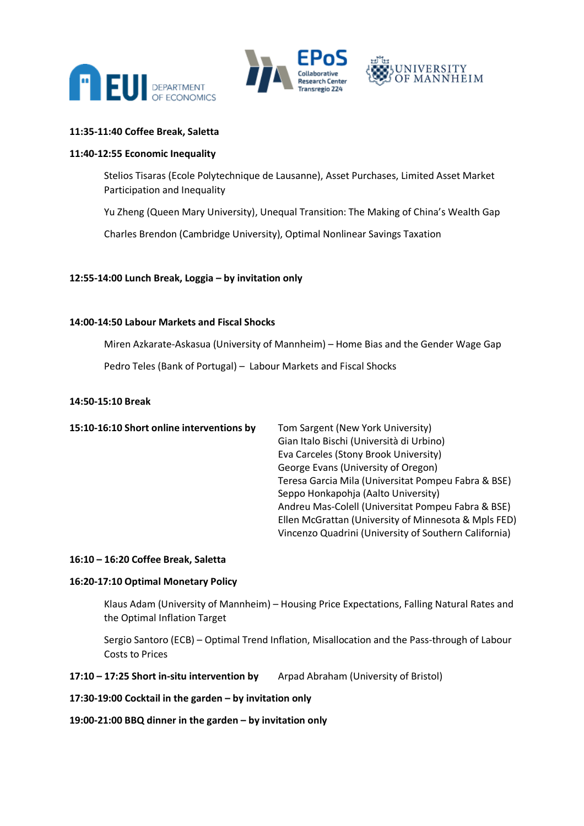





#### **11:35-11:40 Coffee Break, Saletta**

#### **11:40-12:55 Economic Inequality**

Stelios Tisaras (Ecole Polytechnique de Lausanne), Asset Purchases, Limited Asset Market Participation and Inequality

Yu Zheng (Queen Mary University), Unequal Transition: The Making of China's Wealth Gap

Charles Brendon (Cambridge University), Optimal Nonlinear Savings Taxation

#### **12:55-14:00 Lunch Break, Loggia – by invitation only**

#### **14:00-14:50 Labour Markets and Fiscal Shocks**

Miren Azkarate-Askasua (University of Mannheim) – Home Bias and the Gender Wage Gap

Pedro Teles (Bank of Portugal) – Labour Markets and Fiscal Shocks

#### **14:50-15:10 Break**

| 15:10-16:10 Short online interventions by |
|-------------------------------------------|
|-------------------------------------------|

**15:10-15:10-15:10-15:10 Tom Sargent (New York University)** Gian Italo Bischi (Università di Urbino) Eva Carceles (Stony Brook University) George Evans (University of Oregon) Teresa Garcia Mila (Universitat Pompeu Fabra & BSE) Seppo Honkapohja (Aalto University) Andreu Mas-Colell (Universitat Pompeu Fabra & BSE) Ellen McGrattan (University of Minnesota & Mpls FED) Vincenzo Quadrini (University of Southern California)

#### **16:10 – 16:20 Coffee Break, Saletta**

#### **16:20-17:10 Optimal Monetary Policy**

Klaus Adam (University of Mannheim) – Housing Price Expectations, Falling Natural Rates and the Optimal Inflation Target

Sergio Santoro (ECB) – Optimal Trend Inflation, Misallocation and the Pass-through of Labour Costs to Prices

**17:10 – 17:25 Short in-situ intervention by** Arpad Abraham (University of Bristol)

**17:30-19:00 Cocktail in the garden – by invitation only**

#### **19:00-21:00 BBQ dinner in the garden – by invitation only**